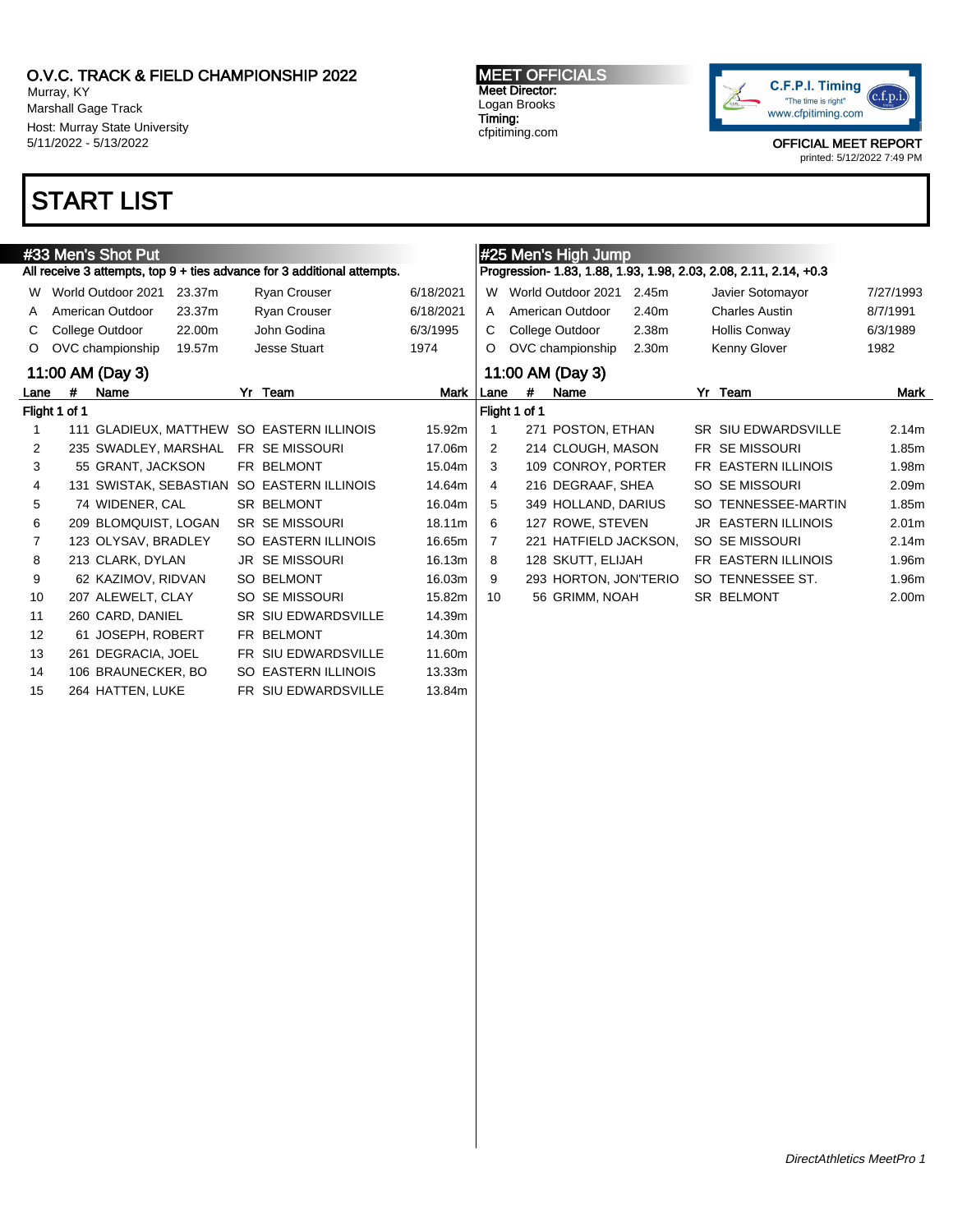Murray, KY Marshall Gage Track Host: Murray State University 5/11/2022 - 5/13/2022

## START LIST

#### #33 Men's Shot Put All receive 3 attempts, top 9 + ties advance for 3 additional attempts. W World Outdoor 2021 23.37m Ryan Crouser 6/18/2021 A American Outdoor 23.37m Ryan Crouser 6/18/2021 C College Outdoor 22.00m John Godina 6/3/1995 O OVC championship 19.57m Jesse Stuart 1974 11:00 AM (Day 3) Lane # Name Yr Team Mark Flight 1 of 1 1 111 GLADIEUX, MATTHEW SO EASTERN ILLINOIS 15.92m 2 235 SWADLEY, MARSHAL FR SE MISSOURI 17.06m 3 55 GRANT, JACKSON FR BELMONT 15.04m 4 131 SWISTAK, SEBASTIAN SO EASTERN ILLINOIS 14.64m 5 74 WIDENER, CAL SR BELMONT 16.04m 6 209 BLOMQUIST, LOGAN SR SE MISSOURI 18.11m 7 123 OLYSAV, BRADLEY SO EASTERN ILLINOIS 16.65m 8 213 CLARK, DYLAN JR SE MISSOURI 16.13m 9 62 KAZIMOV, RIDVAN SO BELMONT 16.03m 10 207 ALEWELT, CLAY SO SE MISSOURI 15.82m 11 260 CARD, DANIEL SR SIU EDWARDSVILLE 14.39m 12 61 JOSEPH, ROBERT FR BELMONT 14.30m 13 261 DEGRACIA, JOEL FR SIU EDWARDSVILLE 11.60m 14 106 BRAUNECKER, BO SO EASTERN ILLINOIS 13.33m 15 264 HATTEN, LUKE FR SIU EDWARDSVILLE 13.84m #25 Men's High Jump Progression- 1.83, 1.88, 1.93, 1.98, 2.03, 2.08, 2.11, 2.14, +0.3 W World Outdoor 2021 2.45m Javier Sotomayor 7/27/1993 A American Outdoor 2.40m Charles Austin 8/7/1991 C College Outdoor 2.38m Hollis Conway 6/3/1989 O OVC championship 2.30m Kenny Glover 1982 11:00 AM (Day 3) Lane # Name Yr Team Mark Flight 1 of 1 1 271 POSTON, ETHAN SR SIU EDWARDSVILLE 2.14m 2 214 CLOUGH, MASON FR SE MISSOURI 1.85m 3 109 CONROY, PORTER FR EASTERN ILLINOIS 1.98m 4 216 DEGRAAF, SHEA SO SE MISSOURI 2.09m 5 349 HOLLAND, DARIUS SO TENNESSEE-MARTIN 1.85m 6 127 ROWE, STEVEN JR EASTERN ILLINOIS 2.01m 7 221 HATFIELD JACKSON, SO SE MISSOURI 2.14m 8 128 SKUTT, ELIJAH FR EASTERN ILLINOIS 1.96m 9 293 HORTON, JON'TERIO SO TENNESSEE ST. 1.96m 10 56 GRIMM, NOAH SR BELMONT 2.00m

MEET OFFICIALS Meet Director: Logan Brooks Timing: cfpitiming.com

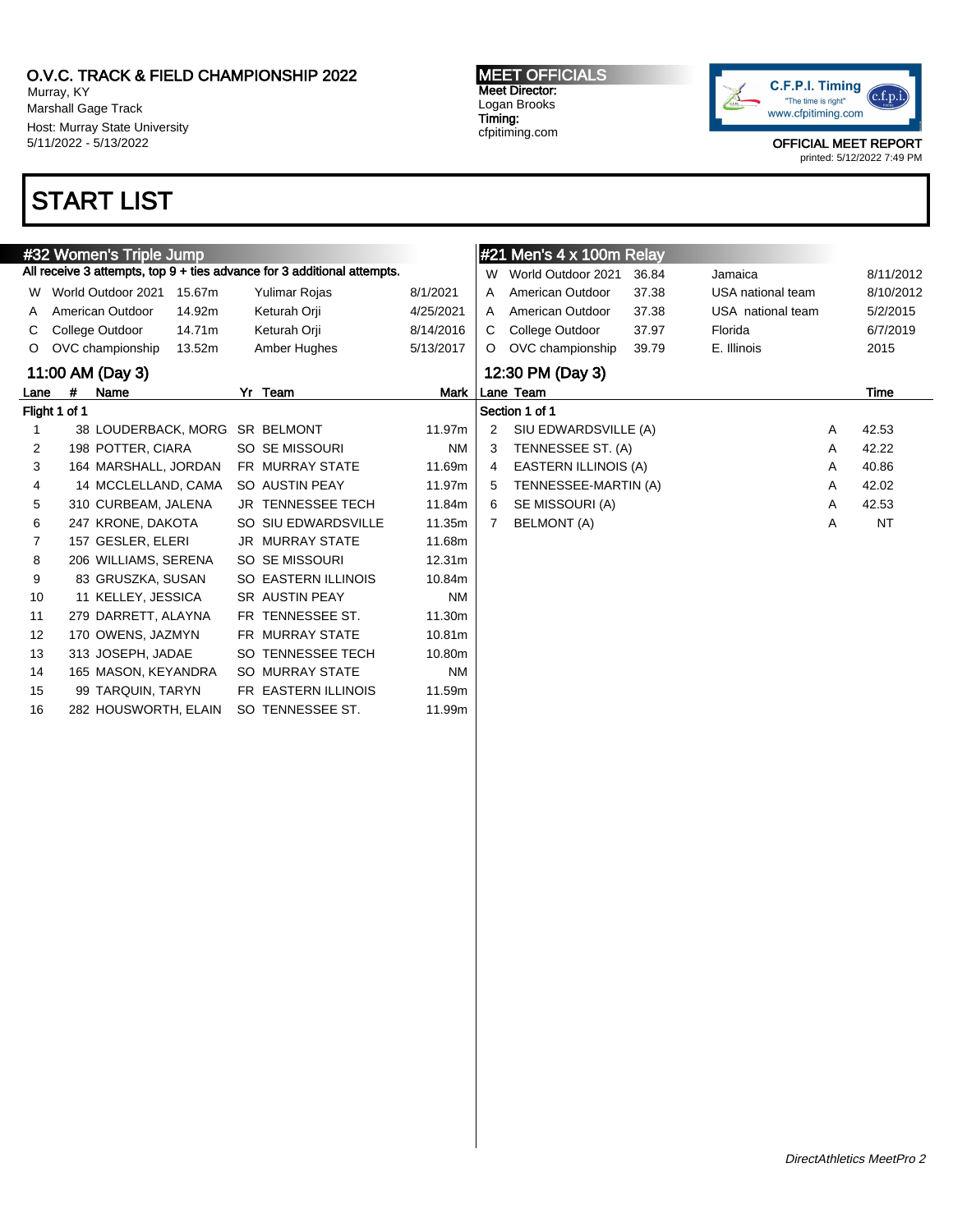Murray, KY Marshall Gage Track Host: Murray State University 5/11/2022 - 5/13/2022

## START LIST

|                |               | #32 Women's Triple Jump        |        |                                                                         |           |   | #21 Mer    |
|----------------|---------------|--------------------------------|--------|-------------------------------------------------------------------------|-----------|---|------------|
|                |               |                                |        | All receive 3 attempts, top 9 + ties advance for 3 additional attempts. |           | W | Worl       |
| W              |               | World Outdoor 2021             | 15.67m | Yulimar Rojas                                                           | 8/1/2021  | A | Ame        |
| A              |               | American Outdoor               | 14.92m | Keturah Orji                                                            | 4/25/2021 | A | Ame        |
| C              |               | College Outdoor                | 14.71m | Keturah Orji                                                            | 8/14/2016 | C | Colle      |
| O              |               | OVC championship               | 13.52m | Amber Hughes                                                            | 5/13/2017 | O | OVC        |
|                |               | 11:00 AM (Day 3)               |        |                                                                         |           |   | 12:30 F    |
| Lane           | #             | Name                           |        | Yr Team                                                                 | Mark      |   | Lane Tea   |
|                | Flight 1 of 1 |                                |        |                                                                         |           |   | Section 1  |
| 1              |               | 38 LOUDERBACK, MORG SR BELMONT |        |                                                                         | 11.97m    | 2 | SIU        |
| $\overline{2}$ |               | 198 POTTER, CIARA              |        | SO SE MISSOURI                                                          | <b>NM</b> | 3 | <b>TEN</b> |
| 3              |               | 164 MARSHALL, JORDAN           |        | FR MURRAY STATE                                                         | 11.69m    | 4 | <b>EAS</b> |
| 4              |               | 14 MCCLELLAND, CAMA            |        | SO AUSTIN PEAY                                                          | 11.97m    | 5 | <b>TEN</b> |
| 5              |               | 310 CURBEAM, JALENA            |        | <b>JR TENNESSEE TECH</b>                                                | 11.84m    | 6 | <b>SE</b>  |
| 6              |               | 247 KRONE, DAKOTA              |        | SO SIU EDWARDSVILLE                                                     | 11.35m    | 7 | <b>BEL</b> |
| $\overline{7}$ |               | 157 GESLER, ELERI              |        | <b>JR MURRAY STATE</b>                                                  | 11.68m    |   |            |
| 8              |               | 206 WILLIAMS, SERENA           |        | SO SE MISSOURI                                                          | 12.31m    |   |            |
| 9              |               | 83 GRUSZKA, SUSAN              |        | SO EASTERN ILLINOIS                                                     | 10.84m    |   |            |
| 10             |               | 11 KELLEY, JESSICA             |        | <b>SR AUSTIN PEAY</b>                                                   | <b>NM</b> |   |            |
| 11             |               | 279 DARRETT, ALAYNA            |        | FR TENNESSEE ST.                                                        | 11.30m    |   |            |
| 12             |               | 170 OWENS, JAZMYN              |        | FR MURRAY STATE                                                         | 10.81m    |   |            |
| 13             |               | 313 JOSEPH, JADAE              |        | SO TENNESSEE TECH                                                       | 10.80m    |   |            |
| 14             |               | 165 MASON, KEYANDRA            |        | <b>SO MURRAY STATE</b>                                                  | <b>NM</b> |   |            |
| 15             |               | 99 TARQUIN, TARYN              |        | FR EASTERN ILLINOIS                                                     | 11.59m    |   |            |
| 16             |               | 282 HOUSWORTH, ELAIN           |        | SO TENNESSEE ST.                                                        | 11.99m    |   |            |

MEET OFFICIALS Meet Director: Logan Brooks Timing: cfpitiming.com



OFFICIAL MEET REPORT

| #21 Men's $4 \times 100$ m Relay |                             |                      |                   |          |           |  |  |  |  |  |  |  |
|----------------------------------|-----------------------------|----------------------|-------------------|----------|-----------|--|--|--|--|--|--|--|
| W                                | World Outdoor 2021          | 36.84                | Jamaica           |          | 8/11/2012 |  |  |  |  |  |  |  |
| A                                | American Outdoor            | 37.38                | USA national team |          | 8/10/2012 |  |  |  |  |  |  |  |
| A                                | American Outdoor            | 37.38                | USA national team | 5/2/2015 |           |  |  |  |  |  |  |  |
| С                                | College Outdoor             | 37.97                | Florida           |          | 6/7/2019  |  |  |  |  |  |  |  |
| O                                | OVC championship            | E. Illinois<br>39.79 |                   |          |           |  |  |  |  |  |  |  |
|                                  | 12:30 PM (Day 3)            |                      |                   |          |           |  |  |  |  |  |  |  |
| Lane Team<br>Time                |                             |                      |                   |          |           |  |  |  |  |  |  |  |
|                                  |                             |                      |                   |          |           |  |  |  |  |  |  |  |
|                                  | Section 1 of 1              |                      |                   |          |           |  |  |  |  |  |  |  |
| 2                                | SIU EDWARDSVILLE (A)        |                      |                   | A        | 42.53     |  |  |  |  |  |  |  |
| 3                                | TENNESSEE ST. (A)           |                      |                   | A        | 42.22     |  |  |  |  |  |  |  |
| 4                                | <b>EASTERN ILLINOIS (A)</b> |                      |                   | A        | 40.86     |  |  |  |  |  |  |  |
| 5                                | TENNESSEE-MARTIN (A)        |                      |                   | A        | 42.02     |  |  |  |  |  |  |  |
| 6                                | SE MISSOURI (A)             |                      |                   | A        | 42.53     |  |  |  |  |  |  |  |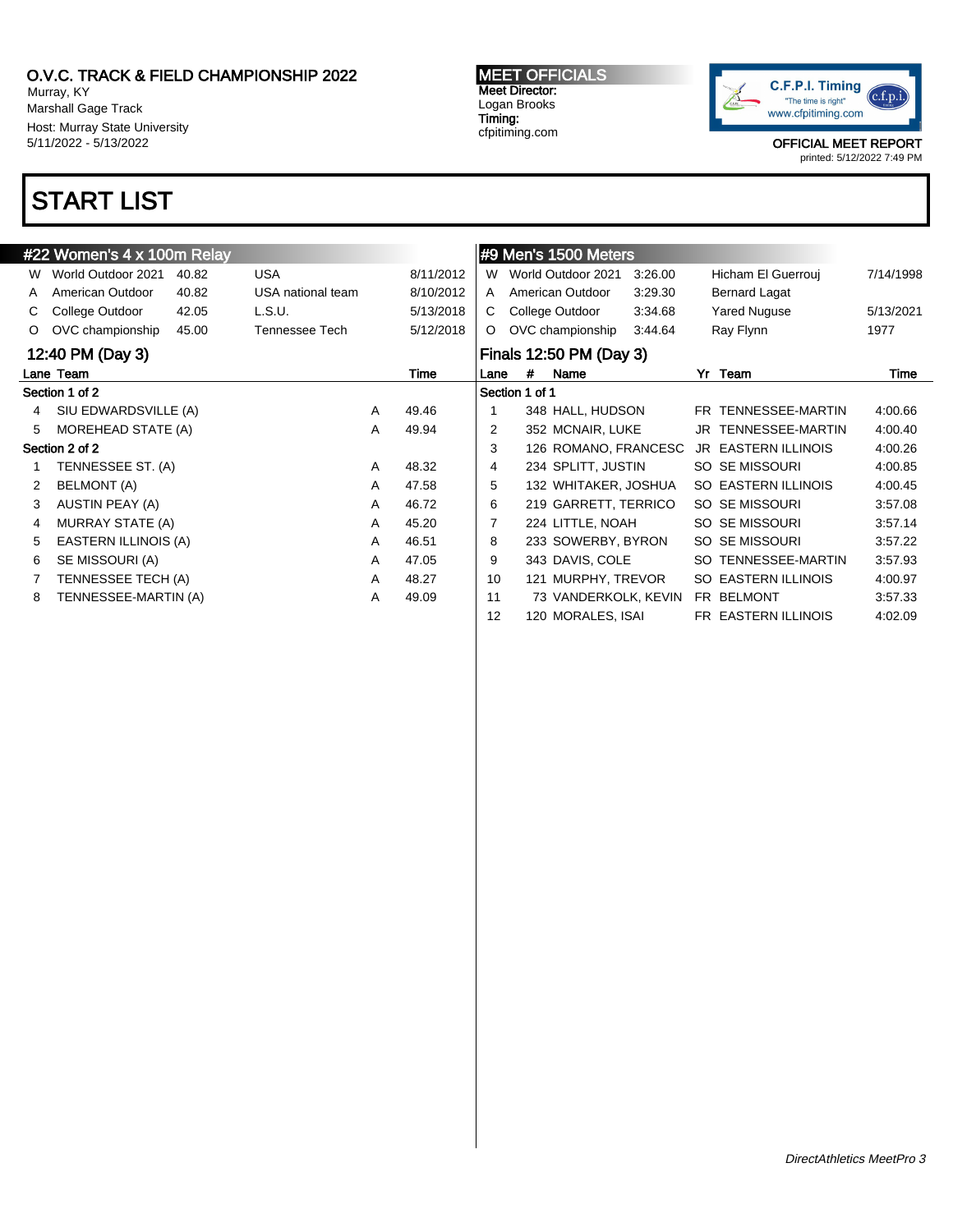Murray, KY Marshall Gage Track Host: Murray State University 5/11/2022 - 5/13/2022

## START LIST

#### #22 Women's 4 x 100m Relay W World Outdoor 2021 40.82 USA 8/11/2012 A American Outdoor 40.82 USA national team 8/10/2012 C College Outdoor 42.05 L.S.U. 5/13/2018 O OVC championship 45.00 Tennessee Tech 5/12/2018 12:40 PM (Day 3) Lane Team Time Section 1 of 2 4 SIU EDWARDSVILLE (A) A 49.46 5 MOREHEAD STATE (A) A 49.94 Section 2 of 2 1 TENNESSEE ST. (A) A 48.32 2 BELMONT (A) A 47.58 3 AUSTIN PEAY (A) A 46.72 4 MURRAY STATE (A) A 45.20 5 EASTERN ILLINOIS (A) A 46.51 6 SE MISSOURI (A) A 47.05 7 TENNESSEE TECH (A) A 48.27 8 TENNESSEE-MARTIN (A) A 49.09 #9 Men's 1500 Meters W World Outdoor 2021 3:26.00 Hicham El Guerrouj 7/14/1998 A American Outdoor 3:29.30 Bernard Lagat C College Outdoor 3:34.68 Yared Nuguse 5/13/2021 O OVC championship 3:44.64 Ray Flynn 1977 Finals 12:50 PM (Day 3) Lane # Name Yr Team Time Section 1 of 1 1 348 HALL, HUDSON FR TENNESSEE-MARTIN 4:00.66 2 352 MCNAIR, LUKE JR TENNESSEE-MARTIN 4:00.40 3 126 ROMANO, FRANCESC JR EASTERN ILLINOIS 4:00.26 4 234 SPLITT, JUSTIN SO SE MISSOURI 4:00.85 5 132 WHITAKER, JOSHUA SO EASTERN ILLINOIS 4:00.45 6 219 GARRETT, TERRICO SO SE MISSOURI 3:57.08 7 224 LITTLE, NOAH SO SE MISSOURI 3:57.14 8 233 SOWERBY, BYRON SO SE MISSOURI 3:57.22 9 343 DAVIS, COLE SO TENNESSEE-MARTIN 3:57.93 10 121 MURPHY, TREVOR SO EASTERN ILLINOIS 4:00.97 11 73 VANDERKOLK, KEVIN FR BELMONT 3:57.33 12 120 MORALES, ISAI FR EASTERN ILLINOIS 4:02.09

MEET OFFICIALS Meet Director: Logan Brooks Timing: cfpitiming.com



OFFICIAL MEET REPORT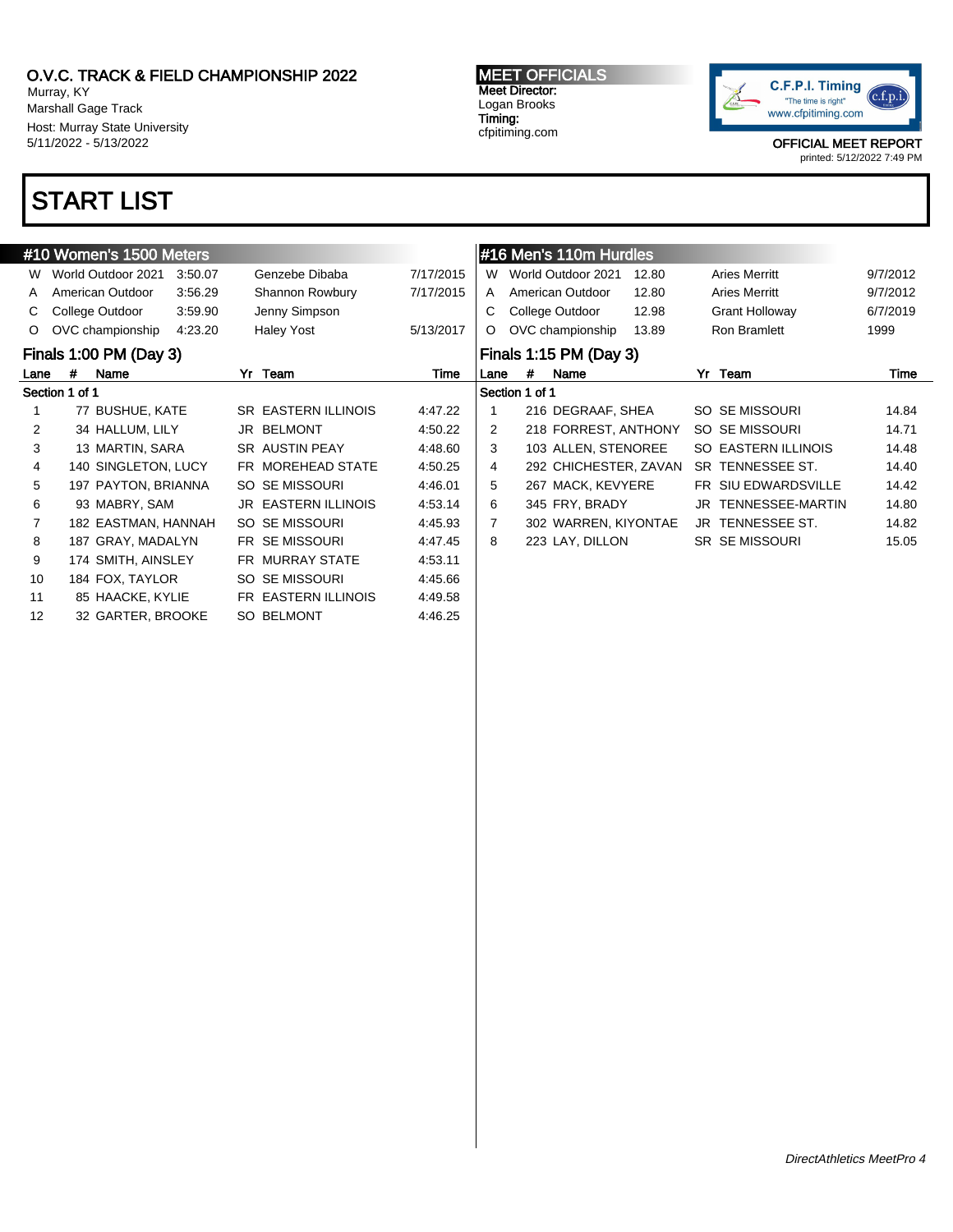Murray, KY Marshall Gage Track Host: Murray State University 5/11/2022 - 5/13/2022

## START LIST

### #10 Women's 1500 Meters W World Outdoor 2021 3:50.07 Genzebe Dibaba 7/17/2015 A American Outdoor 3:56.29 Shannon Rowbury 7/17/2015 C College Outdoor 3:59.90 Jenny Simpson O OVC championship 4:23.20 Haley Yost 5/13/2017 Finals 1:00 PM (Day 3) Lane # Name Yr Team Time Section 1 of 1 1 77 BUSHUE, KATE SR EASTERN ILLINOIS 4:47.22 2 34 HALLUM, LILY JR BELMONT 4:50.22 3 13 MARTIN, SARA SR AUSTIN PEAY 4:48.60 4 140 SINGLETON, LUCY FR MOREHEAD STATE 4:50.25 5 197 PAYTON, BRIANNA SO SE MISSOURI 4:46.01 6 93 MABRY, SAM JR EASTERN ILLINOIS 4:53.14 7 182 EASTMAN, HANNAH SO SE MISSOURI 4:45.93 8 187 GRAY, MADALYN FR SE MISSOURI 4:47.45 9 174 SMITH, AINSLEY FR MURRAY STATE 4:53.11 10 184 FOX, TAYLOR SO SE MISSOURI 4:45.66 11 85 HAACKE, KYLIE FR EASTERN ILLINOIS 4:49.58 12 32 GARTER, BROOKE SO BELMONT 4:46.25

MEET OFFICIALS Meet Director: Logan Brooks Timing:

cfpitiming.com



OFFICIAL MEET REPORT

|      |                           | #16 Men's 110m Hurdles |       |    |                         |          |  |  |  |  |  |  |
|------|---------------------------|------------------------|-------|----|-------------------------|----------|--|--|--|--|--|--|
| W    |                           | World Outdoor 2021     | 12.80 |    | <b>Aries Merritt</b>    | 9/7/2012 |  |  |  |  |  |  |
| A    | American Outdoor<br>12.80 |                        |       |    | Aries Merritt           | 9/7/2012 |  |  |  |  |  |  |
| С    |                           | College Outdoor        | 12.98 |    | <b>Grant Holloway</b>   | 6/7/2019 |  |  |  |  |  |  |
| O    |                           | OVC championship       | 13.89 |    | Ron Bramlett            | 1999     |  |  |  |  |  |  |
|      | Finals 1:15 PM (Day 3)    |                        |       |    |                         |          |  |  |  |  |  |  |
| Lane | #                         | Name                   |       | Yr | Team                    | Time     |  |  |  |  |  |  |
|      | Section 1 of 1            |                        |       |    |                         |          |  |  |  |  |  |  |
| 1    |                           | 216 DEGRAAF, SHEA      |       |    | SO SE MISSOURI          | 14.84    |  |  |  |  |  |  |
| 2    |                           | 218 FORREST, ANTHONY   |       |    | SO SE MISSOURI          | 14.71    |  |  |  |  |  |  |
| 3    |                           | 103 ALLEN, STENOREE    |       |    |                         |          |  |  |  |  |  |  |
|      |                           |                        |       |    | SO EASTERN ILLINOIS     | 14.48    |  |  |  |  |  |  |
| 4    |                           | 292 CHICHESTER, ZAVAN  |       |    | SR TENNESSEE ST.        | 14.40    |  |  |  |  |  |  |
| 5    |                           | 267 MACK, KEVYERE      |       |    | FR SIU EDWARDSVILLE     | 14.42    |  |  |  |  |  |  |
| 6    |                           | 345 FRY, BRADY         |       |    | JR TENNESSEE-MARTIN     | 14.80    |  |  |  |  |  |  |
| 7    |                           | 302 WARREN, KIYONTAE   |       |    | <b>JR TENNESSEE ST.</b> | 14.82    |  |  |  |  |  |  |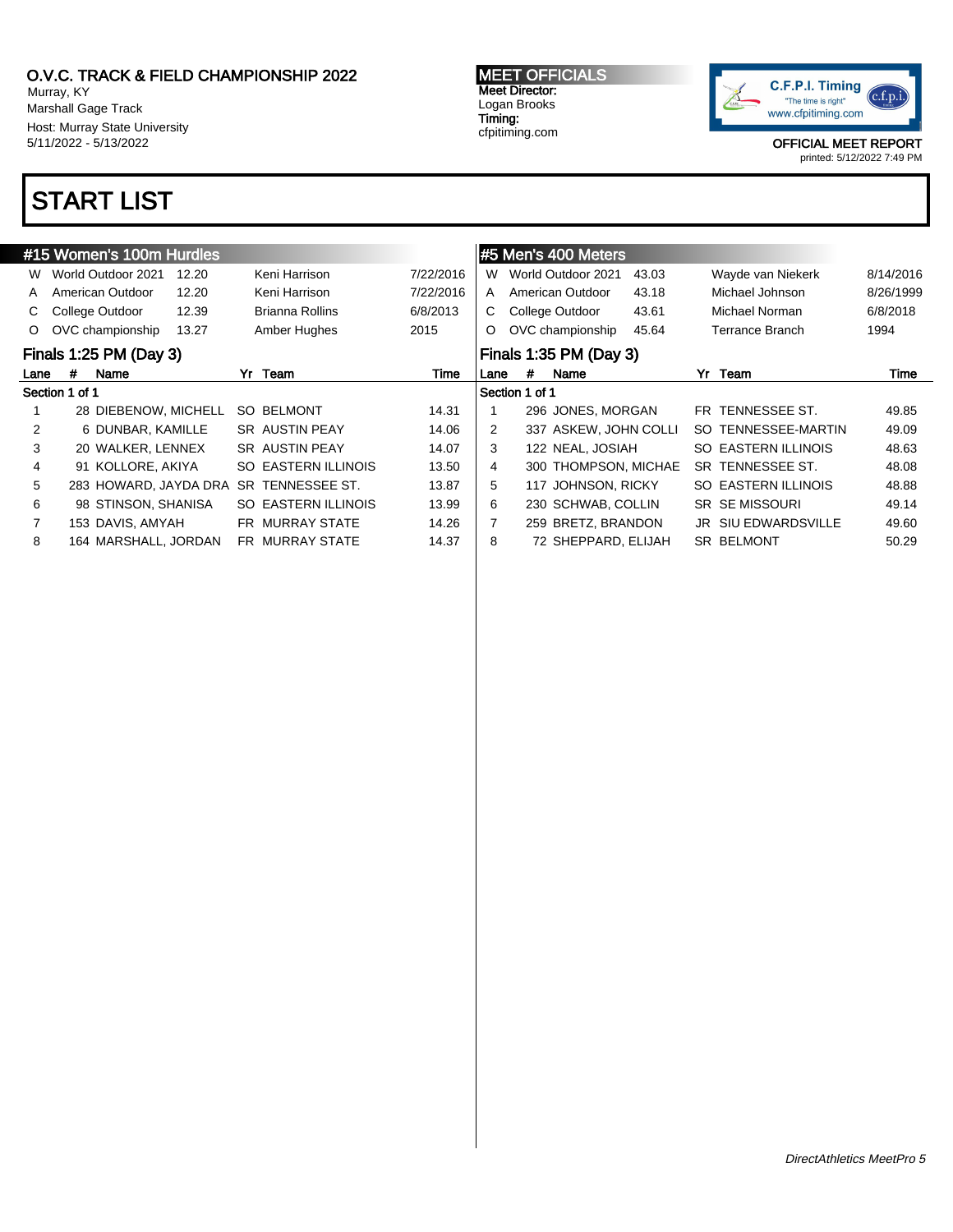8 164 MARSHALL, JORDAN FR MURRAY STATE 14.37

Murray, KY Marshall Gage Track Host: Murray State University 5/11/2022 - 5/13/2022

## START LIST

#### #15 Women's 100m Hurdles W World Outdoor 2021 12.20 Keni Harrison 7/22/2016 A American Outdoor 12.20 Keni Harrison 7/22/2016 C College Outdoor 12.39 Brianna Rollins 6/8/2013 O OVC championship 13.27 Amber Hughes 2015 Finals 1:25 PM (Day 3) Lane # Name **Yr Team** 7 Time Section 1 of 1 1 28 DIEBENOW, MICHELL SO BELMONT 14.31 2 6 DUNBAR, KAMILLE SR AUSTIN PEAY 14.06 3 20 WALKER, LENNEX SR AUSTIN PEAY 14.07 4 91 KOLLORE, AKIYA SO EASTERN ILLINOIS 13.50 5 283 HOWARD, JAYDA DRA SR TENNESSEE ST. 13.87 6 98 STINSON, SHANISA SO EASTERN ILLINOIS 13.99 7 153 DAVIS, AMYAH FR MURRAY STATE 14.26 #5 Men's 400 Meters W World Outdoor 2021 43.03 Wayde van Niekerk 8/14/2016 A American Outdoor 43.18 Michael Johnson 8/26/1999 C College Outdoor 43.61 Michael Norman 6/8/2018 O OVC championship 45.64 Terrance Branch 1994 Finals 1:35 PM (Day 3) Lane # Name **Yr Team** 7 Time Section 1 of 1 1 296 JONES, MORGAN FR TENNESSEE ST. 49.85 2 337 ASKEW, JOHN COLLI SO TENNESSEE-MARTIN 49.09 3 122 NEAL, JOSIAH SO EASTERN ILLINOIS 48.63 4 300 THOMPSON, MICHAE SR TENNESSEE ST. 48.08 5 117 JOHNSON, RICKY SO EASTERN ILLINOIS 48.88 6 230 SCHWAB, COLLIN SR SE MISSOURI 49.14 7 259 BRETZ, BRANDON JR SIU EDWARDSVILLE 49.60

MEET OFFICIALS Meet Director: Logan Brooks Timing: cfpitiming.com



8 72 SHEPPARD, ELIJAH SR BELMONT 50.29

OFFICIAL MEET REPORT printed: 5/12/2022 7:49 PM

DirectAthletics MeetPro 5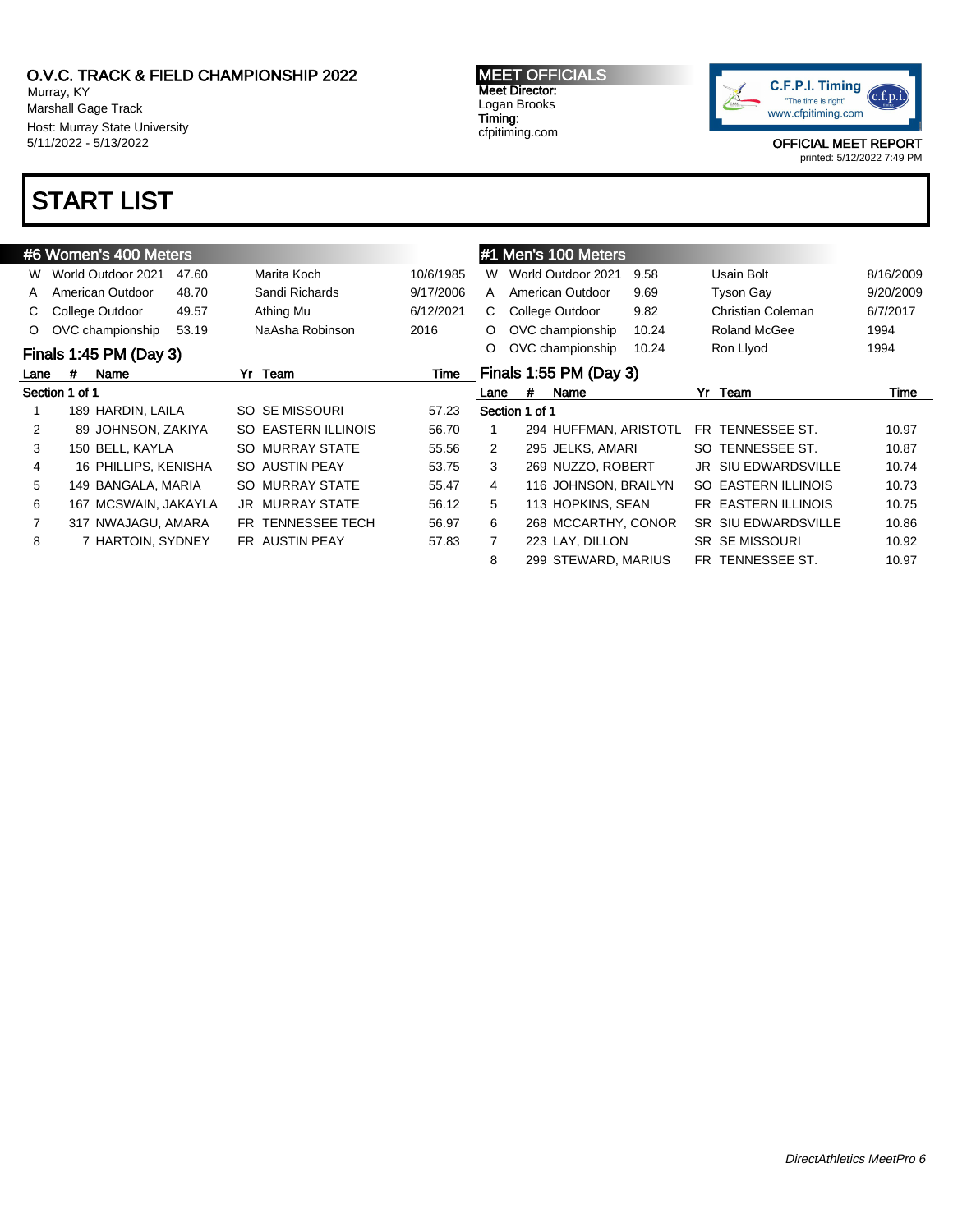Murray, KY Marshall Gage Track Host: Murray State University 5/11/2022 - 5/13/2022

## START LIST

### #6 Women's 400 Meters W World Outdoor 2021 47.60 Marita Koch 10/6/1985 A American Outdoor 48.70 Sandi Richards 9/17/2006 C College Outdoor 49.57 Athing Mu 6/12/2021 O OVC championship 53.19 NaAsha Robinson 2016 Finals 1:45 PM (Day 3) Lane # Name Yr Team Time Se

| ection 1 of 1 |                      |                        |       |
|---------------|----------------------|------------------------|-------|
| $\mathbf{1}$  | 189 HARDIN, LAILA    | SO SE MISSOURI         | 57.23 |
| $\mathbf{2}$  | 89 JOHNSON, ZAKIYA   | SO EASTERN ILLINOIS    | 56.70 |
| 3             | 150 BELL, KAYLA      | SO MURRAY STATE        | 55.56 |
| 4             | 16 PHILLIPS, KENISHA | SO AUSTIN PEAY         | 53.75 |
| 5             | 149 BANGALA, MARIA   | SO MURRAY STATE        | 55.47 |
| 6             | 167 MCSWAIN, JAKAYLA | <b>JR MURRAY STATE</b> | 56.12 |
| 7             | 317 NWAJAGU, AMARA   | FR TENNESSEE TECH      | 56.97 |
| 8             | 7 HARTOIN, SYDNEY    | FR AUSTIN PEAY         | 57.83 |

MEET OFFICIALS Meet Director: Logan Brooks Timing: cfpitiming.com



OFFICIAL MEET REPORT

|      |                        | #1 Men's 100 Meters   |       |    |                            |           |  |  |  |  |  |
|------|------------------------|-----------------------|-------|----|----------------------------|-----------|--|--|--|--|--|
| W    |                        | World Outdoor 2021    | 9.58  |    | Usain Bolt                 | 8/16/2009 |  |  |  |  |  |
| A    |                        | American Outdoor      | 9.69  |    | <b>Tyson Gay</b>           | 9/20/2009 |  |  |  |  |  |
| C    |                        | College Outdoor       | 9.82  |    | Christian Coleman          | 6/7/2017  |  |  |  |  |  |
| O    |                        | OVC championship      | 10.24 |    | Roland McGee               | 1994      |  |  |  |  |  |
| O    |                        | OVC championship      | 10.24 |    | Ron Llyod                  | 1994      |  |  |  |  |  |
|      | Finals 1:55 PM (Day 3) |                       |       |    |                            |           |  |  |  |  |  |
| Lane | #                      | Name                  |       | Yr | Team                       | Time      |  |  |  |  |  |
|      |                        |                       |       |    |                            |           |  |  |  |  |  |
|      | Section 1 of 1         |                       |       |    |                            |           |  |  |  |  |  |
| 1    |                        | 294 HUFFMAN, ARISTOTL |       |    | FR TENNESSEE ST.           | 10.97     |  |  |  |  |  |
| 2    |                        | 295 JELKS, AMARI      |       |    | SO TENNESSEE ST.           | 10.87     |  |  |  |  |  |
| 3    |                        | 269 NUZZO, ROBERT     |       |    | JR SIU EDWARDSVILLE        | 10.74     |  |  |  |  |  |
| 4    |                        | 116 JOHNSON, BRAILYN  |       |    | SO EASTERN ILLINOIS        | 10.73     |  |  |  |  |  |
| 5    |                        | 113 HOPKINS, SEAN     |       |    | FR EASTERN ILLINOIS        | 10.75     |  |  |  |  |  |
| 6    |                        | 268 MCCARTHY, CONOR   |       |    | <b>SR SIU EDWARDSVILLE</b> | 10.86     |  |  |  |  |  |
| 7    |                        | 223 LAY, DILLON       |       |    | <b>SR SE MISSOURI</b>      | 10.92     |  |  |  |  |  |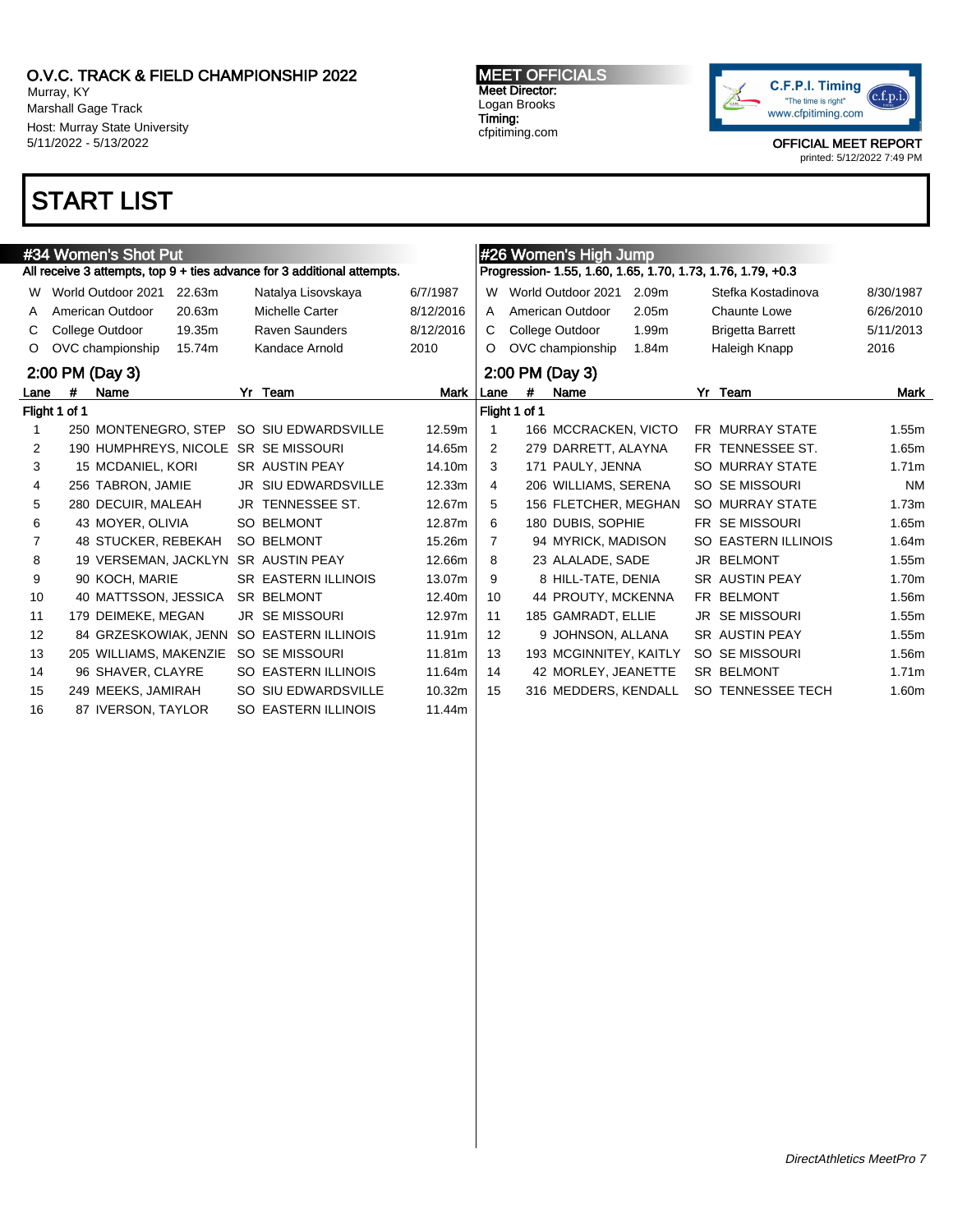Murray, KY Marshall Gage Track Host: Murray State University 5/11/2022 - 5/13/2022

# START LIST

|      | #26 Women's High Jump<br>#34 Women's Shot Put |                        |        |  |                                                                         |           |                   |               |                        |                   |                                                             |                   |
|------|-----------------------------------------------|------------------------|--------|--|-------------------------------------------------------------------------|-----------|-------------------|---------------|------------------------|-------------------|-------------------------------------------------------------|-------------------|
|      |                                               |                        |        |  | All receive 3 attempts, top 9 + ties advance for 3 additional attempts. |           |                   |               |                        |                   | Progression- 1.55, 1.60, 1.65, 1.70, 1.73, 1.76, 1.79, +0.3 |                   |
| W    |                                               | World Outdoor 2021     | 22.63m |  | Natalya Lisovskaya                                                      | 6/7/1987  | W                 |               | World Outdoor 2021     | 2.09 <sub>m</sub> | Stefka Kostadinova                                          | 8/30/1987         |
| A    |                                               | American Outdoor       | 20.63m |  | Michelle Carter                                                         | 8/12/2016 | A                 |               | American Outdoor       | 2.05 <sub>m</sub> | Chaunte Lowe                                                | 6/26/2010         |
| C.   |                                               | College Outdoor        | 19.35m |  | <b>Raven Saunders</b>                                                   | 8/12/2016 | C.                |               | College Outdoor        | 1.99m             | <b>Brigetta Barrett</b>                                     | 5/11/2013         |
| O    |                                               | OVC championship       | 15.74m |  | Kandace Arnold                                                          | 2010      | O                 |               | OVC championship       | 1.84m             | Haleigh Knapp                                               | 2016              |
|      | 2:00 PM (Day 3)                               |                        |        |  |                                                                         |           |                   |               | 2:00 PM (Day 3)        |                   |                                                             |                   |
| Lane | #                                             | Name                   |        |  | Yr Team                                                                 | Mark      | Lane              | #             | Name                   |                   | Yr Team                                                     | Mark              |
|      | Flight 1 of 1                                 |                        |        |  |                                                                         |           |                   | Flight 1 of 1 |                        |                   |                                                             |                   |
|      |                                               | 250 MONTENEGRO, STEP   |        |  | SO SIU EDWARDSVILLE                                                     | 12.59m    |                   |               | 166 MCCRACKEN, VICTO   |                   | <b>FR MURRAY STATE</b>                                      | 1.55m             |
| 2    |                                               |                        |        |  | 190 HUMPHREYS, NICOLE SR SE MISSOURI                                    | 14.65m    | 2                 |               | 279 DARRETT, ALAYNA    |                   | FR TENNESSEE ST.                                            | 1.65m             |
| 3    |                                               | 15 MCDANIEL, KORI      |        |  | SR AUSTIN PEAY                                                          | 14.10m    | 3                 |               | 171 PAULY, JENNA       |                   | <b>SO MURRAY STATE</b>                                      | 1.71 <sub>m</sub> |
| 4    |                                               | 256 TABRON, JAMIE      |        |  | <b>JR SIU EDWARDSVILLE</b>                                              | 12.33m    | 4                 |               | 206 WILLIAMS, SERENA   |                   | SO SE MISSOURI                                              | <b>NM</b>         |
| 5    |                                               | 280 DECUIR, MALEAH     |        |  | JR TENNESSEE ST.                                                        | 12.67m    | 5                 |               | 156 FLETCHER, MEGHAN   |                   | SO MURRAY STATE                                             | 1.73m             |
| 6    |                                               | 43 MOYER, OLIVIA       |        |  | <b>SO BELMONT</b>                                                       | 12.87m    | 6                 |               | 180 DUBIS, SOPHIE      |                   | <b>FR SE MISSOURI</b>                                       | 1.65m             |
| 7    |                                               | 48 STUCKER, REBEKAH    |        |  | <b>SO BELMONT</b>                                                       | 15.26m    | 7                 |               | 94 MYRICK, MADISON     |                   | <b>SO EASTERN ILLINOIS</b>                                  | 1.64m             |
| 8    |                                               |                        |        |  | 19 VERSEMAN, JACKLYN SR AUSTIN PEAY                                     | 12.66m    | 8                 |               | 23 ALALADE, SADE       |                   | JR BELMONT                                                  | 1.55m             |
| 9    |                                               | 90 KOCH, MARIE         |        |  | <b>SR EASTERN ILLINOIS</b>                                              | 13.07m    | 9                 |               | 8 HILL-TATE, DENIA     |                   | <b>SR AUSTIN PEAY</b>                                       | 1.70m             |
| 10   |                                               | 40 MATTSSON, JESSICA   |        |  | <b>SR BELMONT</b>                                                       | 12.40m    | 10                |               | 44 PROUTY, MCKENNA     |                   | FR BELMONT                                                  | 1.56m             |
| 11   |                                               | 179 DEIMEKE, MEGAN     |        |  | <b>JR SEMISSOURI</b>                                                    | 12.97m    | 11                |               | 185 GAMRADT, ELLIE     |                   | <b>JR SE MISSOURI</b>                                       | 1.55m             |
| 12   |                                               | 84 GRZESKOWIAK, JENN   |        |  | <b>SO EASTERN ILLINOIS</b>                                              | 11.91m    | $12 \overline{ }$ |               | 9 JOHNSON, ALLANA      |                   | SR AUSTIN PEAY                                              | 1.55m             |
| 13   |                                               | 205 WILLIAMS, MAKENZIE |        |  | SO SE MISSOURI                                                          | 11.81m    | 13                |               | 193 MCGINNITEY, KAITLY |                   | SO SE MISSOURI                                              | 1.56m             |
| 14   |                                               | 96 SHAVER, CLAYRE      |        |  | <b>SO EASTERN ILLINOIS</b>                                              | 11.64m    | 14                |               | 42 MORLEY, JEANETTE    |                   | SR BELMONT                                                  | 1.71m             |
| 15   |                                               | 249 MEEKS, JAMIRAH     |        |  | SO SIU EDWARDSVILLE                                                     | 10.32m    | 15                |               | 316 MEDDERS, KENDALL   |                   | SO TENNESSEE TECH                                           | 1.60m             |
| 16   |                                               | 87 IVERSON, TAYLOR     |        |  | <b>SO EASTERN ILLINOIS</b>                                              | 11.44m    |                   |               |                        |                   |                                                             |                   |

MEET OFFICIALS Meet Director: Logan Brooks Timing: cfpitiming.com

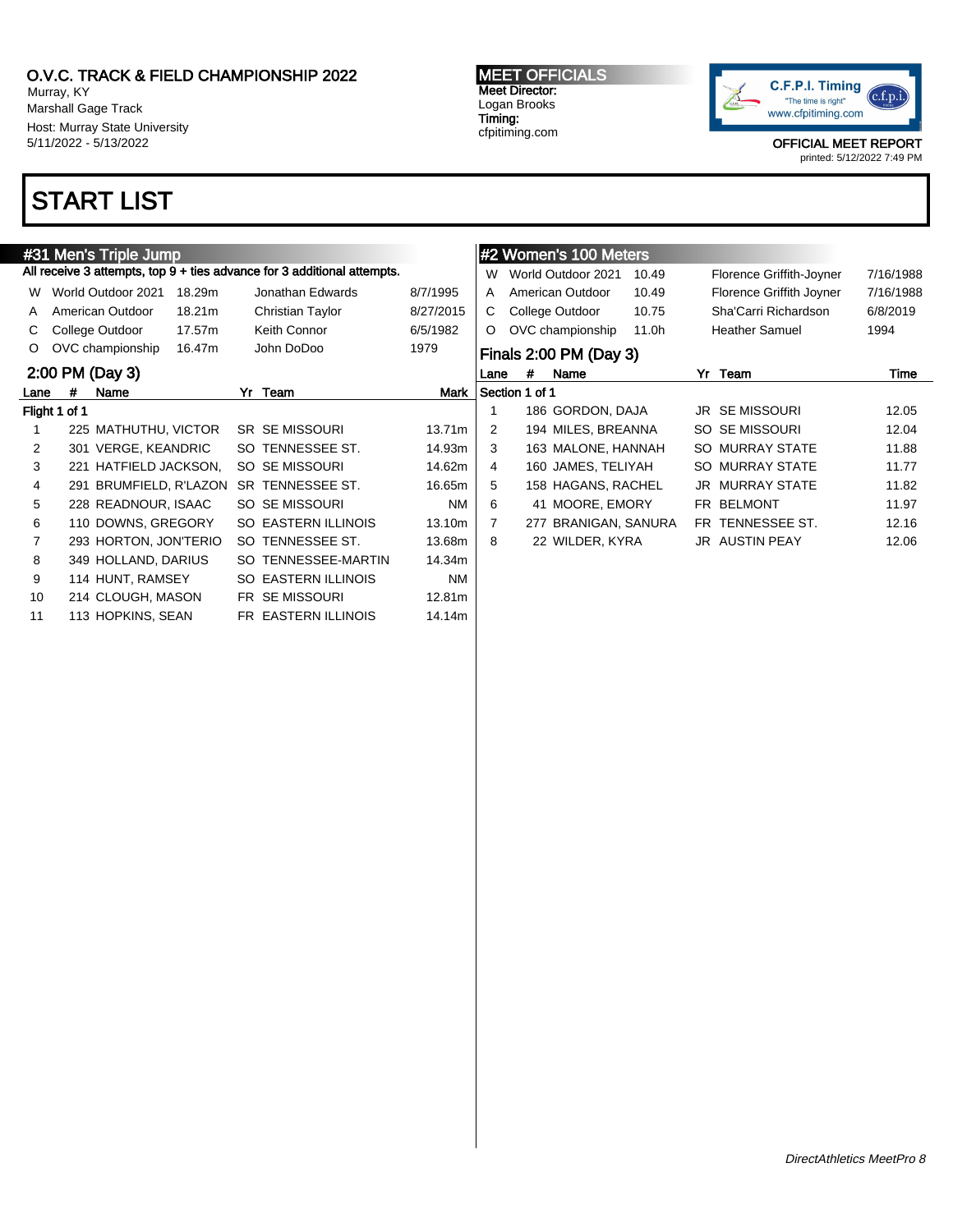All receive 3 attempts, top 9 + ties advance for 3 additional attempts.

W World Outdoor 2021 18.29m Jonathan Edwards 8/7/1995

Murray, KY Marshall Gage Track Host: Murray State University 5/11/2022 - 5/13/2022

# START LIST

#31 Men's Triple Jump

### Logan Brooks Timing: cfpitiming.com



OFFICIAL MEET REPORT printed: 5/12/2022 7:49 PM

#### A American Outdoor 18.21m Christian Taylor 8/27/2015 W World Outdoor 2021 10.49 Florence Griffith-Joyner 7/16/1988 A American Outdoor 10.49 Florence Griffith Joyner 7/16/1988 C College Outdoor 10.75 Sha'Carri Richardson 6/8/2019 O OVC championship 11.0h Heather Samuel 1994 Finals 2:00 PM (Day 3) Lane # Name Yr Team Time Section 1 of 1 1 186 GORDON, DAJA JR SE MISSOURI 12.05 2 194 MILES, BREANNA SO SE MISSOURI 12.04 3 163 MALONE, HANNAH SO MURRAY STATE 11.88 4 160 JAMES, TELIYAH SO MURRAY STATE 11.77 5 158 HAGANS, RACHEL JR MURRAY STATE 11.82 6 41 MOORE, EMORY FR BELMONT 11.97 7 277 BRANIGAN, SANURA FR TENNESSEE ST. 12.16 8 22 WILDER, KYRA JR AUSTIN PEAY 12.06

#2 Women's 100 Meters

MEET OFFICIALS Meet Director:

### C College Outdoor 17.57m Keith Connor 6/5/1982 O OVC championship 16.47m John DoDoo 1979 2:00 PM (Day 3) Lane # Name Mark 7r Team Mark Flight 1 of 1 1 225 MATHUTHU, VICTOR SR SE MISSOURI 13.71m 2 301 VERGE, KEANDRIC SO TENNESSEE ST. 14.93m 3 221 HATFIELD JACKSON, SO SE MISSOURI 14.62m 4 291 BRUMFIELD, R'LAZON SR TENNESSEE ST. 16.65m 5 228 READNOUR, ISAAC SO SE MISSOURI NM 6 110 DOWNS, GREGORY SO EASTERN ILLINOIS 13.10m 7 293 HORTON, JON'TERIO SO TENNESSEE ST. 13.68m 8 349 HOLLAND, DARIUS SO TENNESSEE-MARTIN 14.34m 9 114 HUNT, RAMSEY SO EASTERN ILLINOIS NM 10 214 CLOUGH, MASON FR SE MISSOURI 12.81m 11 113 HOPKINS, SEAN FR EASTERN ILLINOIS 14.14m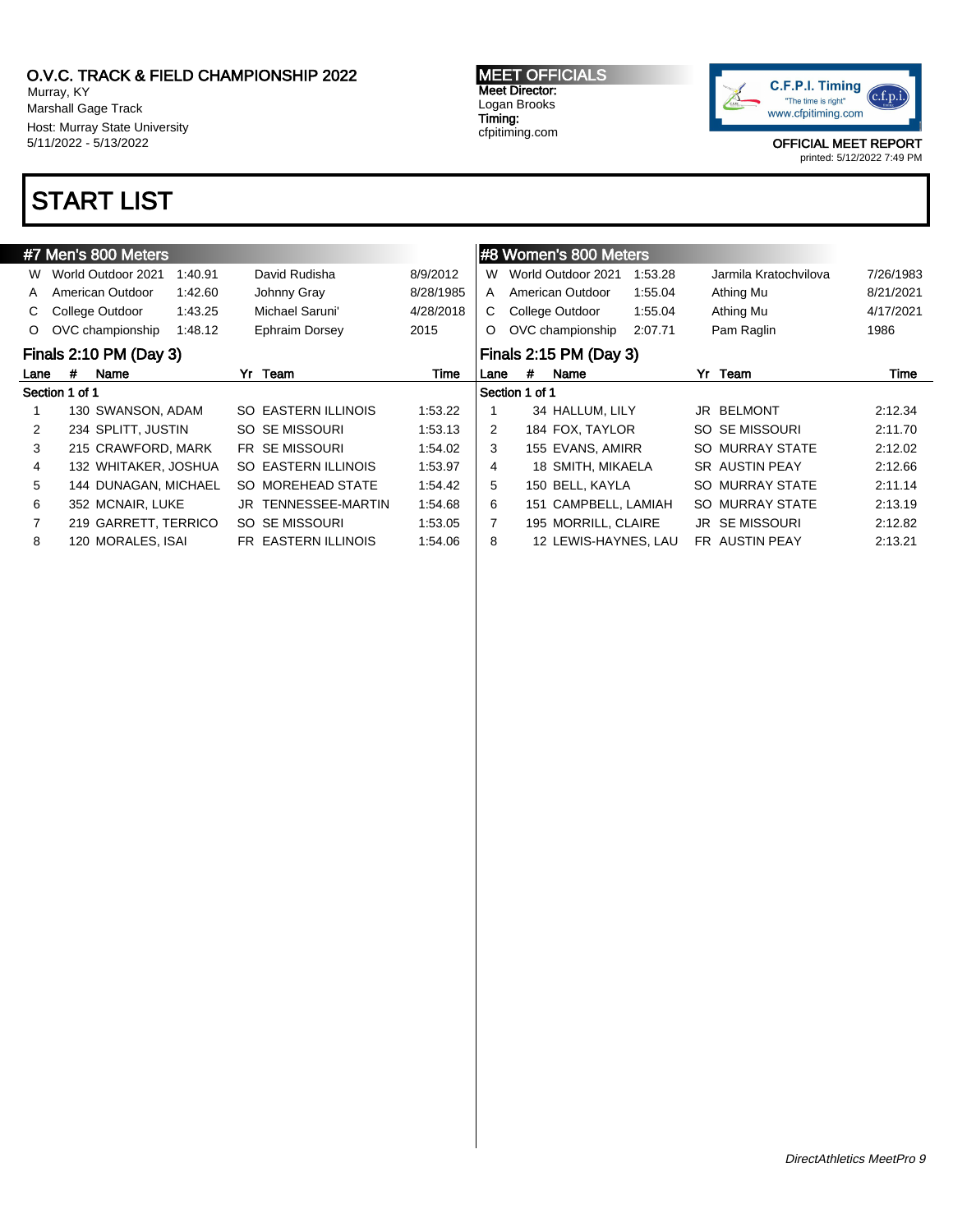7 219 GARRETT, TERRICO SO SE MISSOURI 1:53.05 8 120 MORALES, ISAI FR EASTERN ILLINOIS 1:54.06

Murray, KY Marshall Gage Track Host: Murray State University 5/11/2022 - 5/13/2022

### START LIST

#### #7 Men's 800 Meters W World Outdoor 2021 1:40.91 David Rudisha 8/9/2012 A American Outdoor 1:42.60 Johnny Gray 8/28/1985 C College Outdoor 1:43.25 Michael Saruni' 4/28/2018 O OVC championship 1:48.12 Ephraim Dorsey 2015 Finals 2:10 PM (Day 3) Lane # Name **Yr Team** 7 Time Section 1 of 1 1 130 SWANSON, ADAM SO EASTERN ILLINOIS 1:53.22 2 234 SPLITT, JUSTIN SO SE MISSOURI 1:53.13 3 215 CRAWFORD, MARK FR SE MISSOURI 1:54.02 4 132 WHITAKER, JOSHUA SO EASTERN ILLINOIS 1:53.97 5 144 DUNAGAN, MICHAEL SO MOREHEAD STATE 1:54.42 6 352 MCNAIR, LUKE JR TENNESSEE-MARTIN 1:54.68 #8 Women's 800 Meters W World Outdoor 2021 1:53.28 Jarmila Kratochvilova 7/26/1983 A American Outdoor 1:55.04 Athing Mu 8/21/2021 C College Outdoor 1:55.04 Athing Mu 4/17/2021 O OVC championship 2:07.71 Pam Raglin 1986 Finals 2:15 PM (Day 3) Lane # Name **Yr Team** 7 Time Section 1 of 1 1 34 HALLUM, LILY JR BELMONT 2:12.34 2 184 FOX, TAYLOR SO SE MISSOURI 2:11.70 3 155 EVANS, AMIRR SO MURRAY STATE 2:12.02 4 18 SMITH, MIKAELA SR AUSTIN PEAY 2:12.66 5 150 BELL, KAYLA SO MURRAY STATE 2:11.14 6 151 CAMPBELL, LAMIAH SO MURRAY STATE 2:13.19



7 195 MORRILL, CLAIRE JR SE MISSOURI 2:12.82 8 12 LEWIS-HAYNES, LAU FR AUSTIN PEAY 2:13.21

OFFICIAL MEET REPORT

printed: 5/12/2022 7:49 PM

#### MEET OFFICIALS Meet Director: Logan Brooks Timing: cfpitiming.com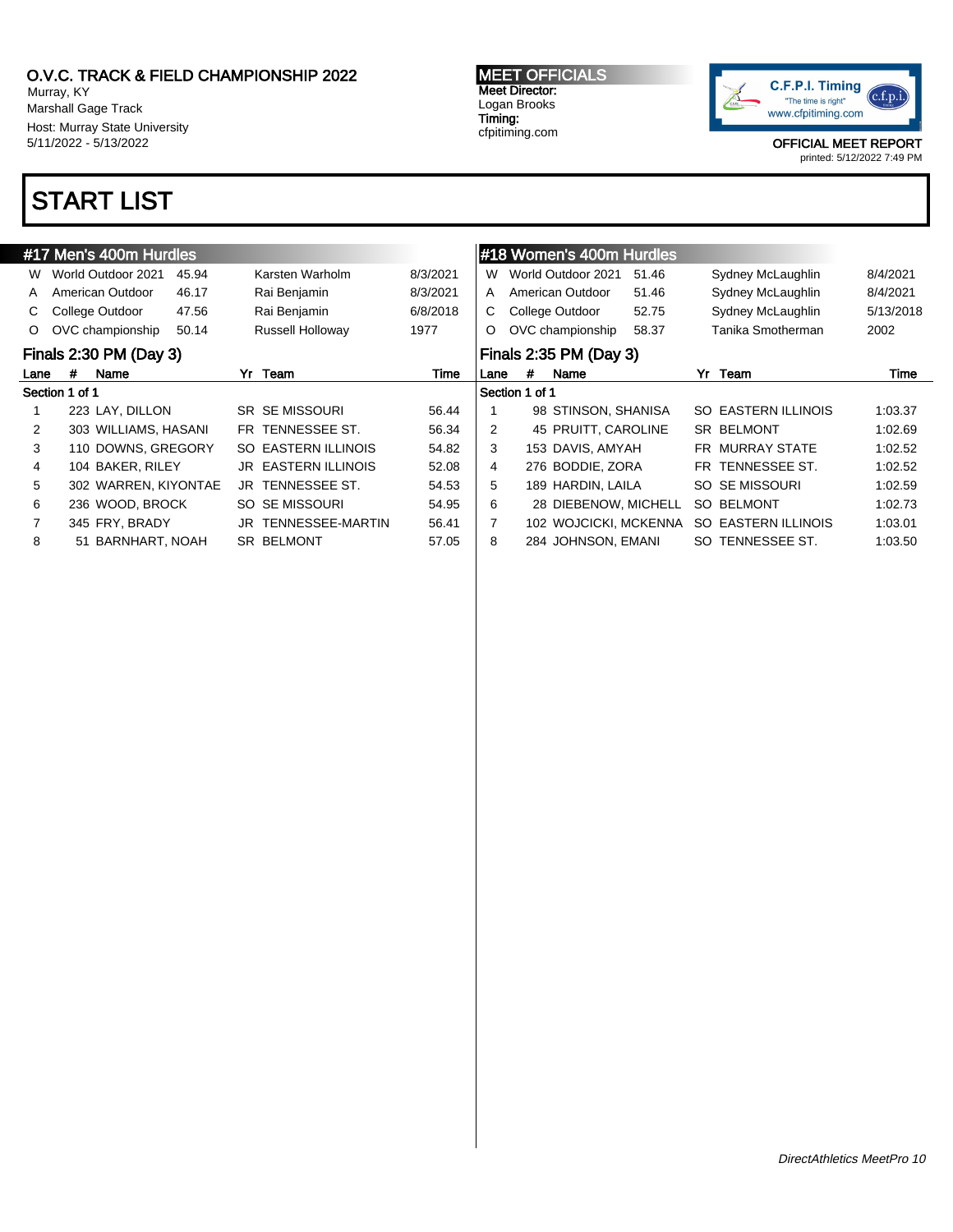Murray, KY Marshall Gage Track Host: Murray State University 5/11/2022 - 5/13/2022

## START LIST

#### #17 Men's 400m Hurdles W World Outdoor 2021 45.94 Karsten Warholm 8/3/2021 A American Outdoor 46.17 Rai Benjamin 8/3/2021 C College Outdoor 47.56 Rai Benjamin 6/8/2018 O OVC championship 50.14 Russell Holloway 1977 Finals 2:30 PM (Day 3) Lane # Name **Yr Team** 7 Time Section 1 of 1 1 223 LAY, DILLON SR SE MISSOURI 56.44 2 303 WILLIAMS, HASANI FR TENNESSEE ST. 56.34 3 110 DOWNS, GREGORY SO EASTERN ILLINOIS 54.82 4 104 BAKER, RILEY JR EASTERN ILLINOIS 52.08 5 302 WARREN, KIYONTAE JR TENNESSEE ST. 54.53 6 236 WOOD, BROCK SO SE MISSOURI 54.95 7 345 FRY, BRADY JR TENNESSEE-MARTIN 56.41 8 51 BARNHART, NOAH SR BELMONT 57.05 #18 Women's 400m Hurdles W World Outdoor 2021 51.46 Sydney McLaughlin 8/4/2021 A American Outdoor 51.46 Sydney McLaughlin 8/4/2021 C College Outdoor 52.75 Sydney McLaughlin 5/13/2018 O OVC championship 58.37 Tanika Smotherman 2002 Finals 2:35 PM (Day 3) Lane # Name **Yr Team** 7 Time Section 1 of 1 1 98 STINSON, SHANISA SO EASTERN ILLINOIS 1:03.37 2 45 PRUITT, CAROLINE SR BELMONT 1:02.69 3 153 DAVIS, AMYAH FR MURRAY STATE 1:02.52 4 276 BODDIE, ZORA FR TENNESSEE ST. 1:02.52 5 189 HARDIN, LAILA SO SE MISSOURI 1:02.59 6 28 DIEBENOW, MICHELL SO BELMONT 1:02.73 7 102 WOJCICKI, MCKENNA SO EASTERN ILLINOIS 1:03.01 8 284 JOHNSON, EMANI SO TENNESSEE ST. 1:03.50

MEET OFFICIALS Meet Director: Logan Brooks Timing: cfpitiming.com

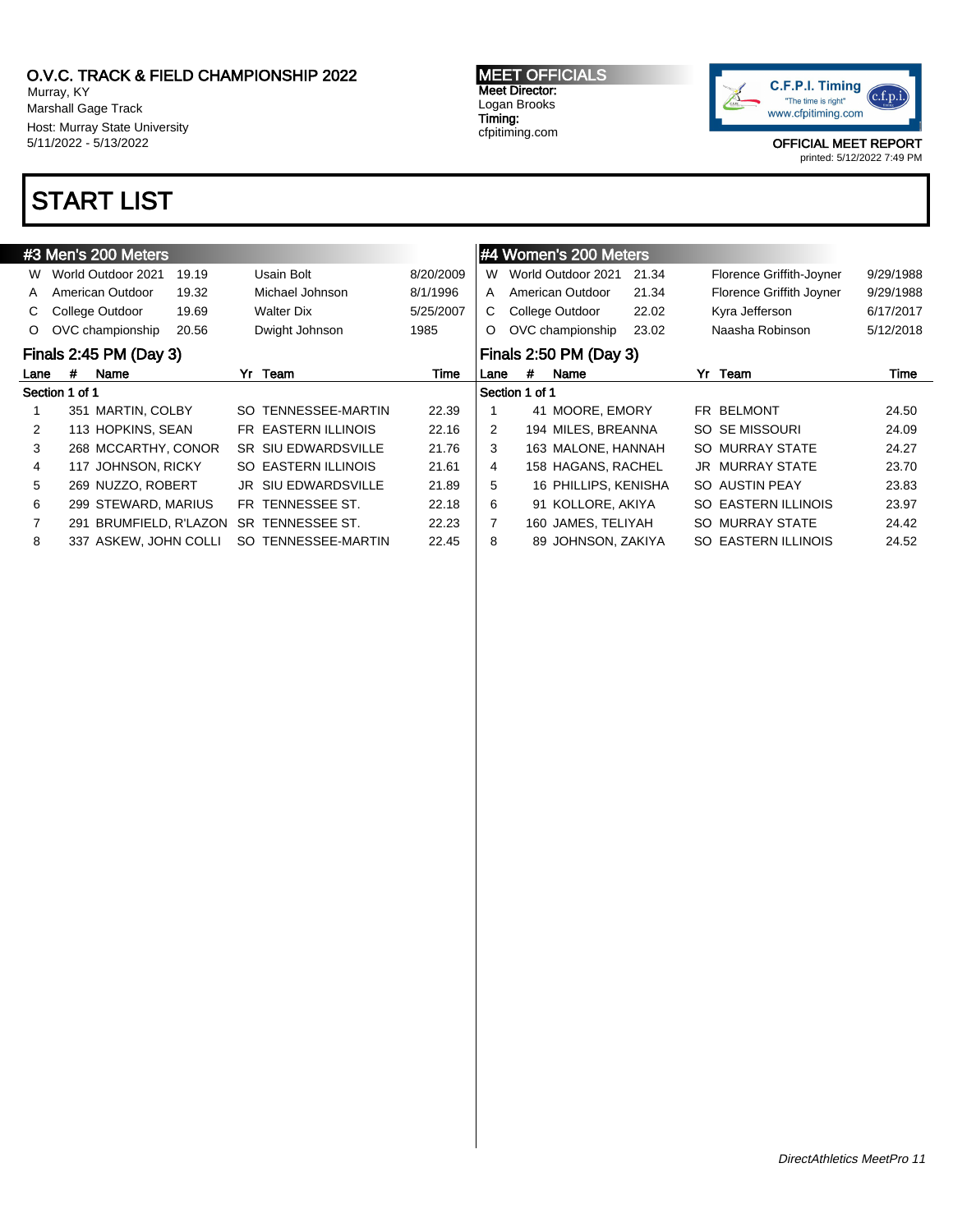Murray, KY Marshall Gage Track Host: Murray State University 5/11/2022 - 5/13/2022

# START LIST

#### MEET OFFICIALS Meet Director: Logan Brooks Timing: cfpitiming.com



|                |                | #3 Men's 200 Meters    |       |     |                            |           |               |                | #4 Women's 200 Meters  |       |                            |           |
|----------------|----------------|------------------------|-------|-----|----------------------------|-----------|---------------|----------------|------------------------|-------|----------------------------|-----------|
|                |                |                        |       |     |                            |           |               |                |                        |       |                            |           |
| W              |                | World Outdoor 2021     | 19.19 |     | Usain Bolt                 | 8/20/2009 | W             |                | World Outdoor 2021     | 21.34 | Florence Griffith-Joyner   | 9/29/1988 |
| A              |                | American Outdoor       | 19.32 |     | Michael Johnson            | 8/1/1996  | A             |                | American Outdoor       | 21.34 | Florence Griffith Joyner   | 9/29/1988 |
| C.             |                | College Outdoor        | 19.69 |     | Walter Dix                 | 5/25/2007 | C             |                | College Outdoor        | 22.02 | Kyra Jefferson             | 6/17/2017 |
| $\circ$        |                | OVC championship       | 20.56 |     | Dwight Johnson             | 1985      | $\circ$       |                | OVC championship       | 23.02 | Naasha Robinson            | 5/12/2018 |
|                |                | Finals 2:45 PM (Day 3) |       |     |                            |           |               |                | Finals 2:50 PM (Day 3) |       |                            |           |
| Lane           | #              | Name                   |       |     | Yr Team                    | Time      | Lane          | #              | Name                   |       | Yr Team                    | Time      |
|                | Section 1 of 1 |                        |       |     |                            |           |               | Section 1 of 1 |                        |       |                            |           |
|                |                | 351 MARTIN, COLBY      |       | SO. | TENNESSEE-MARTIN           | 22.39     |               |                | 41 MOORE, EMORY        |       | FR BELMONT                 | 24.50     |
| $\overline{2}$ |                | 113 HOPKINS, SEAN      |       |     | FR EASTERN ILLINOIS        | 22.16     | $\mathcal{P}$ |                | 194 MILES, BREANNA     |       | SO SE MISSOURI             | 24.09     |
| 3              |                | 268 MCCARTHY, CONOR    |       |     | <b>SR SIU EDWARDSVILLE</b> | 21.76     | 3             |                | 163 MALONE, HANNAH     |       | SO MURRAY STATE            | 24.27     |
| 4              |                | 117 JOHNSON, RICKY     |       |     | SO EASTERN ILLINOIS        | 21.61     | 4             |                | 158 HAGANS, RACHEL     |       | <b>JR MURRAY STATE</b>     | 23.70     |
| 5              |                | 269 NUZZO, ROBERT      |       |     | <b>JR SIU EDWARDSVILLE</b> | 21.89     | 5             |                | 16 PHILLIPS, KENISHA   |       | SO AUSTIN PEAY             | 23.83     |
| 6              |                | 299 STEWARD, MARIUS    |       |     | FR TENNESSEE ST.           | 22.18     | 6             |                | 91 KOLLORE, AKIYA      |       | <b>SO EASTERN ILLINOIS</b> | 23.97     |
|                |                | 291 BRUMFIELD, R'LAZON |       |     | SR TENNESSEE ST.           | 22.23     |               |                | 160 JAMES, TELIYAH     |       | SO MURRAY STATE            | 24.42     |
| 8              |                | 337 ASKEW, JOHN COLLI  |       |     | SO TENNESSEE-MARTIN        | 22.45     | 8             |                | 89 JOHNSON, ZAKIYA     |       | SO EASTERN ILLINOIS        | 24.52     |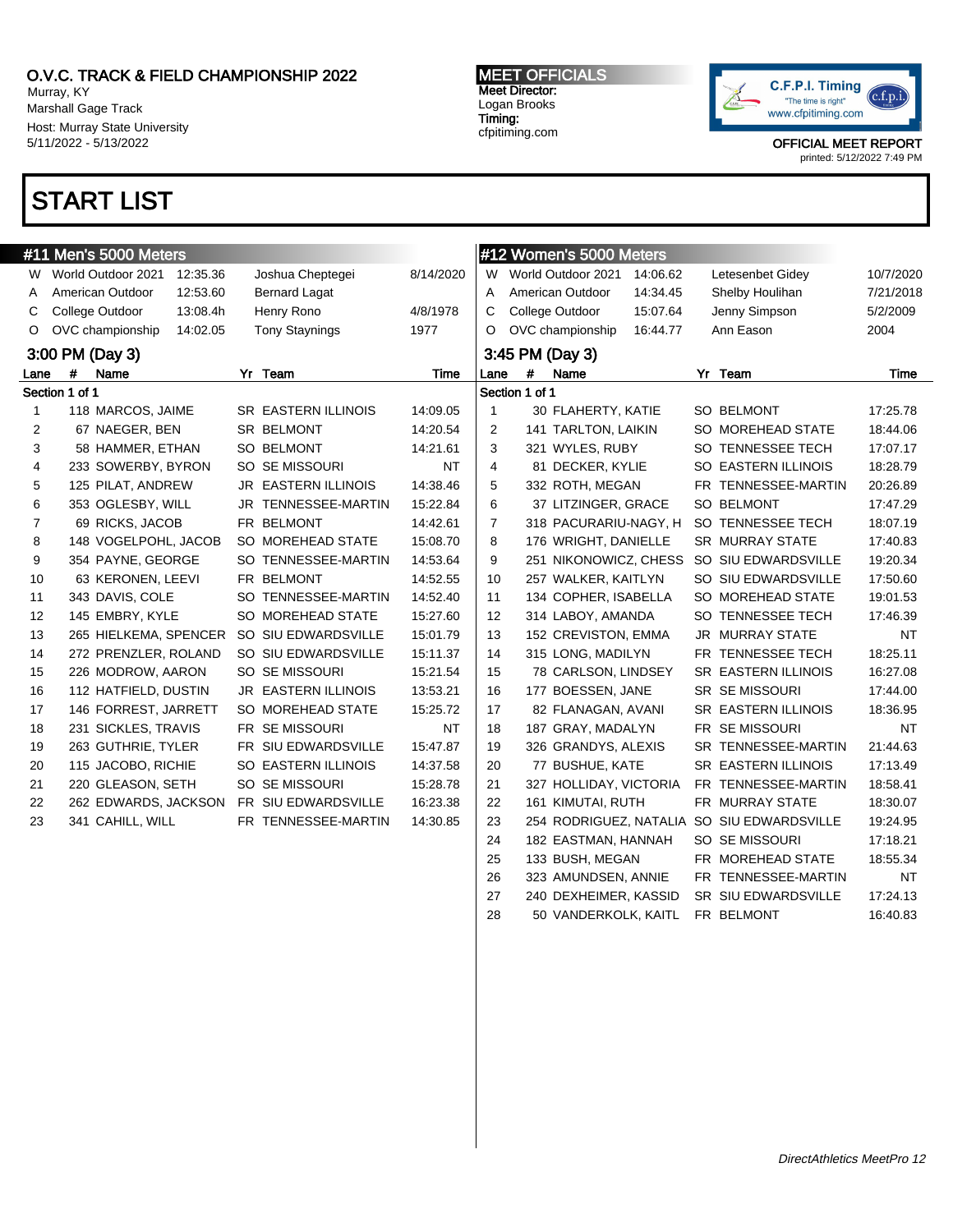Murray, KY Marshall Gage Track Host: Murray State University 5/11/2022 - 5/13/2022

### START LIST

MEET OFFICIALS Meet Director: Logan Brooks Timing: cfpitiming.com



OFFICIAL MEET REPORT

printed: 5/12/2022 7:49 PM

|      | #11 Men's 5000 Meters          |                            |           |      | #12 Women's 5000 Meters |                        |          |                                            |           |
|------|--------------------------------|----------------------------|-----------|------|-------------------------|------------------------|----------|--------------------------------------------|-----------|
| W    | World Outdoor 2021<br>12:35.36 | Joshua Cheptegei           | 8/14/2020 | W    |                         | World Outdoor 2021     | 14:06.62 | Letesenbet Gidey                           | 10/7/2020 |
| A    | American Outdoor<br>12:53.60   | <b>Bernard Lagat</b>       |           | A    |                         | American Outdoor       | 14:34.45 | Shelby Houlihan                            | 7/21/2018 |
| C    | College Outdoor<br>13:08.4h    | Henry Rono                 | 4/8/1978  | C    |                         | College Outdoor        | 15:07.64 | Jenny Simpson                              | 5/2/2009  |
| O    | OVC championship<br>14:02.05   | <b>Tony Staynings</b>      | 1977      | O    |                         | OVC championship       | 16:44.77 | Ann Eason                                  | 2004      |
|      | 3:00 PM (Day 3)                |                            |           |      |                         | 3:45 PM (Day 3)        |          |                                            |           |
| Lane | Name<br>#                      | Yr Team                    | Time      | Lane | #                       | Name                   |          | Yr Team                                    | Time      |
|      | Section 1 of 1                 |                            |           |      | Section 1 of 1          |                        |          |                                            |           |
| 1    | 118 MARCOS, JAIME              | <b>SR EASTERN ILLINOIS</b> | 14:09.05  | 1    |                         | 30 FLAHERTY, KATIE     |          | SO BELMONT                                 | 17:25.78  |
| 2    | 67 NAEGER, BEN                 | SR BELMONT                 | 14:20.54  | 2    |                         | 141 TARLTON, LAIKIN    |          | SO MOREHEAD STATE                          | 18:44.06  |
| 3    | 58 HAMMER, ETHAN               | SO BELMONT                 | 14:21.61  | 3    |                         | 321 WYLES, RUBY        |          | SO TENNESSEE TECH                          | 17:07.17  |
| 4    | 233 SOWERBY, BYRON             | SO SE MISSOURI             | NT        | 4    |                         | 81 DECKER, KYLIE       |          | SO EASTERN ILLINOIS                        | 18:28.79  |
| 5    | 125 PILAT, ANDREW              | JR EASTERN ILLINOIS        | 14:38.46  | 5    |                         | 332 ROTH, MEGAN        |          | FR TENNESSEE-MARTIN                        | 20:26.89  |
| 6    | 353 OGLESBY, WILL              | JR TENNESSEE-MARTIN        | 15:22.84  | 6    |                         | 37 LITZINGER, GRACE    |          | SO BELMONT                                 | 17:47.29  |
| 7    | 69 RICKS, JACOB                | FR BELMONT                 | 14:42.61  | 7    |                         | 318 PACURARIU-NAGY, H  |          | SO TENNESSEE TECH                          | 18:07.19  |
| 8    | 148 VOGELPOHL, JACOB           | SO MOREHEAD STATE          | 15:08.70  | 8    |                         | 176 WRIGHT, DANIELLE   |          | <b>SR MURRAY STATE</b>                     | 17:40.83  |
| 9    | 354 PAYNE, GEORGE              | SO TENNESSEE-MARTIN        | 14:53.64  | 9    |                         | 251 NIKONOWICZ, CHESS  |          | SO SIU EDWARDSVILLE                        | 19:20.34  |
| 10   | 63 KERONEN, LEEVI              | FR BELMONT                 | 14:52.55  | 10   |                         | 257 WALKER, KAITLYN    |          | SO SIU EDWARDSVILLE                        | 17:50.60  |
| 11   | 343 DAVIS, COLE                | SO TENNESSEE-MARTIN        | 14:52.40  | 11   |                         | 134 COPHER, ISABELLA   |          | SO MOREHEAD STATE                          | 19:01.53  |
| 12   | 145 EMBRY, KYLE                | SO MOREHEAD STATE          | 15:27.60  | 12   |                         | 314 LABOY, AMANDA      |          | SO TENNESSEE TECH                          | 17:46.39  |
| 13   | 265 HIELKEMA, SPENCER          | SO SIU EDWARDSVILLE        | 15:01.79  | 13   |                         | 152 CREVISTON, EMMA    |          | <b>JR MURRAY STATE</b>                     | NT        |
| 14   | 272 PRENZLER, ROLAND           | SO SIU EDWARDSVILLE        | 15:11.37  | 14   |                         | 315 LONG, MADILYN      |          | FR TENNESSEE TECH                          | 18:25.11  |
| 15   | 226 MODROW, AARON              | SO SE MISSOURI             | 15:21.54  | 15   |                         | 78 CARLSON, LINDSEY    |          | SR EASTERN ILLINOIS                        | 16:27.08  |
| 16   | 112 HATFIELD, DUSTIN           | JR EASTERN ILLINOIS        | 13:53.21  | 16   |                         | 177 BOESSEN, JANE      |          | <b>SR SE MISSOURI</b>                      | 17:44.00  |
| 17   | 146 FORREST, JARRETT           | SO MOREHEAD STATE          | 15:25.72  | 17   |                         | 82 FLANAGAN, AVANI     |          | SR EASTERN ILLINOIS                        | 18:36.95  |
| 18   | 231 SICKLES, TRAVIS            | FR SE MISSOURI             | <b>NT</b> | 18   |                         | 187 GRAY, MADALYN      |          | FR SE MISSOURI                             | NT        |
| 19   | 263 GUTHRIE, TYLER             | FR SIU EDWARDSVILLE        | 15:47.87  | 19   |                         | 326 GRANDYS, ALEXIS    |          | SR TENNESSEE-MARTIN                        | 21:44.63  |
| 20   | 115 JACOBO, RICHIE             | SO EASTERN ILLINOIS        | 14:37.58  | 20   |                         | 77 BUSHUE, KATE        |          | SR EASTERN ILLINOIS                        | 17:13.49  |
| 21   | 220 GLEASON, SETH              | SO SE MISSOURI             | 15:28.78  | 21   |                         | 327 HOLLIDAY, VICTORIA |          | FR TENNESSEE-MARTIN                        | 18:58.41  |
| 22   | 262 EDWARDS, JACKSON           | FR SIU EDWARDSVILLE        | 16:23.38  | 22   |                         | 161 KIMUTAI, RUTH      |          | FR MURRAY STATE                            | 18:30.07  |
| 23   | 341 CAHILL, WILL               | FR TENNESSEE-MARTIN        | 14:30.85  | 23   |                         |                        |          | 254 RODRIGUEZ, NATALIA SO SIU EDWARDSVILLE | 19:24.95  |
|      |                                |                            |           | 24   |                         | 182 EASTMAN, HANNAH    |          | SO SE MISSOURI                             | 17:18.21  |
|      |                                |                            |           | 25   |                         | 133 BUSH, MEGAN        |          | FR MOREHEAD STATE                          | 18:55.34  |
|      |                                |                            |           | 26   |                         | 323 AMUNDSEN, ANNIE    |          | FR TENNESSEE-MARTIN                        | <b>NT</b> |
|      |                                |                            |           | 27   |                         | 240 DEXHEIMER, KASSID  |          | SR SIU EDWARDSVILLE                        | 17:24.13  |

28 50 VANDERKOLK, KAITL FR BELMONT 16:40.83